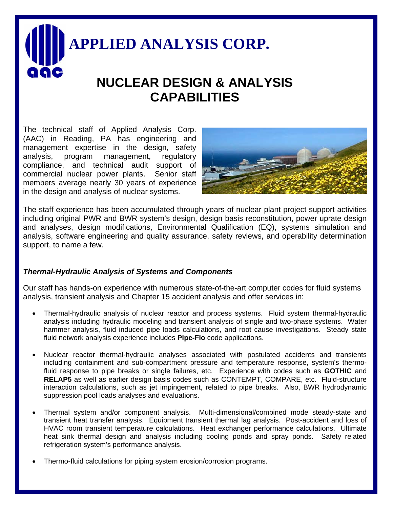# **NUCLEAR DESIGN & ANALYSIS CAPABILITIES**

**APPLIED ANALYSIS CORP.** 

The technical staff of Applied Analysis Corp. (AAC) in Reading, PA has engineering and management expertise in the design, safety analysis, program management, regulatory compliance, and technical audit support of commercial nuclear power plants. Senior staff members average nearly 30 years of experience in the design and analysis of nuclear systems.



The staff experience has been accumulated through years of nuclear plant project support activities including original PWR and BWR system's design, design basis reconstitution, power uprate design and analyses, design modifications, Environmental Qualification (EQ), systems simulation and analysis, software engineering and quality assurance, safety reviews, and operability determination support, to name a few.

### *Thermal-Hydraulic Analysis of Systems and Components*

Our staff has hands-on experience with numerous state-of-the-art computer codes for fluid systems analysis, transient analysis and Chapter 15 accident analysis and offer services in:

- Thermal-hydraulic analysis of nuclear reactor and process systems. Fluid system thermal-hydraulic analysis including hydraulic modeling and transient analysis of single and two-phase systems. Water hammer analysis, fluid induced pipe loads calculations, and root cause investigations. Steady state fluid network analysis experience includes **Pipe-Flo** code applications.
- Nuclear reactor thermal-hydraulic analyses associated with postulated accidents and transients including containment and sub-compartment pressure and temperature response, system's thermofluid response to pipe breaks or single failures, etc. Experience with codes such as **GOTHIC** and **RELAP5** as well as earlier design basis codes such as CONTEMPT, COMPARE, etc. Fluid-structure interaction calculations, such as jet impingement, related to pipe breaks. Also, BWR hydrodynamic suppression pool loads analyses and evaluations.
- Thermal system and/or component analysis. Multi-dimensional/combined mode steady-state and transient heat transfer analysis. Equipment transient thermal lag analysis. Post-accident and loss of HVAC room transient temperature calculations. Heat exchanger performance calculations. Ultimate heat sink thermal design and analysis including cooling ponds and spray ponds. Safety related refrigeration system's performance analysis.
- Thermo-fluid calculations for piping system erosion/corrosion programs.